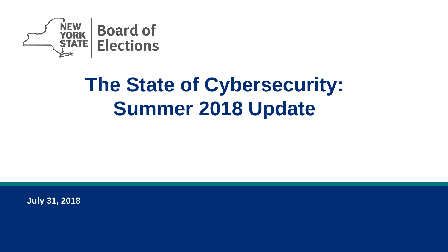

## **The State of Cybersecurity: Summer 2018 Update**

**July 31, 2018**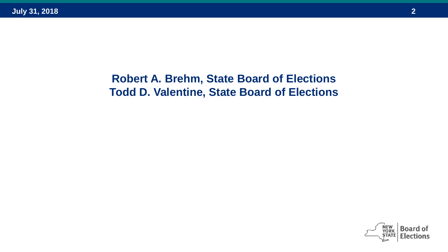#### **Robert A. Brehm, State Board of Elections Todd D. Valentine, State Board of Elections**

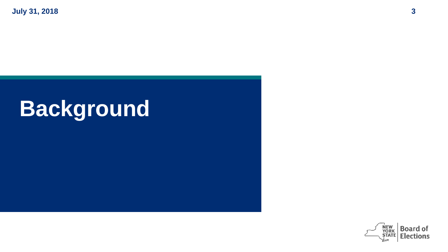**July 31, 2018 3**

# **Background**

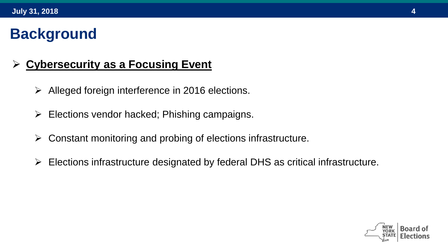## **Background**

#### **Cybersecurity as a Focusing Event**

- $\triangleright$  Alleged foreign interference in 2016 elections.
- $\triangleright$  Elections vendor hacked; Phishing campaigns.
- $\triangleright$  Constant monitoring and probing of elections infrastructure.
- Elections infrastructure designated by federal DHS as critical infrastructure.

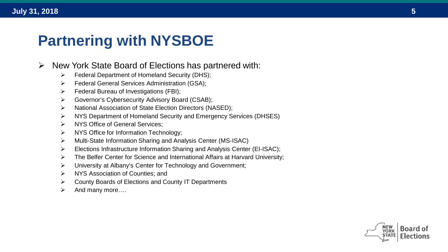#### **Partnering with NYSBOE**

- $\triangleright$  New York State Board of Elections has partnered with:
	- Federal Department of Homeland Security (DHS);
	- Federal General Services Administration (GSA);
	- Federal Bureau of Investigations (FBI);
	- Governor's Cybersecurity Advisory Board (CSAB);
	- > National Association of State Election Directors (NASED);
	- ▶ NYS Department of Homeland Security and Emergency Services (DHSES)
	- > NYS Office of General Services:
	- $\triangleright$  NYS Office for Information Technology;
	- Multi-State Information Sharing and Analysis Center (MS-ISAC)
	- $\triangleright$  Elections Infrastructure Information Sharing and Analysis Center (EI-ISAC);
	- $\triangleright$  The Belfer Center for Science and International Affairs at Harvard University;
	- University at Albany's Center for Technology and Government;
	- > NYS Association of Counties; and
	- County Boards of Elections and County IT Departments
	- $\triangleright$  And many more....

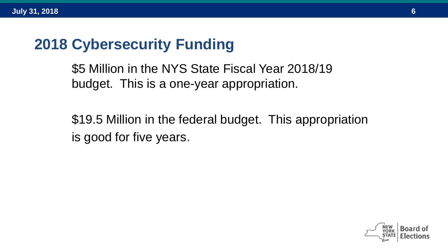#### **2018 Cybersecurity Funding**

\$5 Million in the NYS State Fiscal Year 2018/19 budget. This is a one-year appropriation.

\$19.5 Million in the federal budget. This appropriation is good for five years.

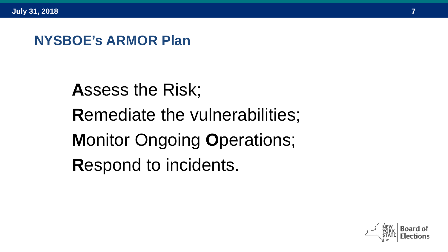#### **NYSBOE's ARMOR Plan**

**A**ssess the Risk; **R**emediate the vulnerabilities; **M**onitor Ongoing **O**perations; **R**espond to incidents.

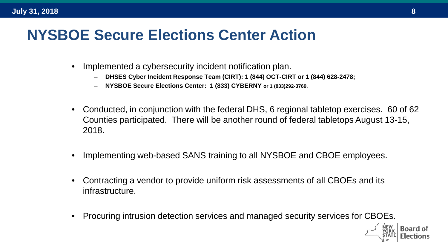## **NYSBOE Secure Elections Center Action**

- Implemented a cybersecurity incident notification plan.
	- **DHSES Cyber Incident Response Team (CIRT): 1 (844) OCT-CIRT or 1 (844) 628-2478;**
	- **NYSBOE Secure Elections Center: 1 (833) CYBERNY or 1 (833)292-3769.**
- Conducted, in conjunction with the federal DHS, 6 regional tabletop exercises. 60 of 62 Counties participated. There will be another round of federal tabletops August 13-15, 2018.
- Implementing web-based SANS training to all NYSBOE and CBOE employees.
- Contracting a vendor to provide uniform risk assessments of all CBOEs and its infrastructure.
- Procuring intrusion detection services and managed security services for CBOEs.